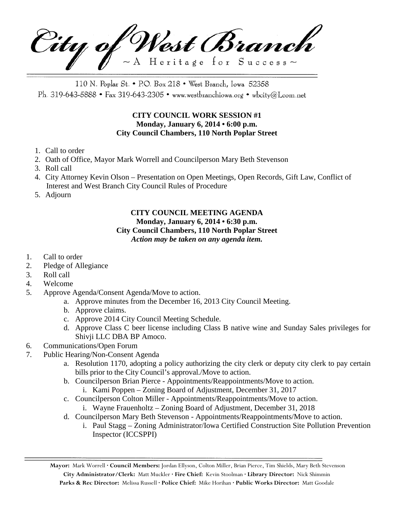City of West Branch  $\sim$  A Heritage for Success $\sim$ 

110 N. Poplar St. • P.O. Box 218 • West Branch, Iowa 52358 Ph. 319-643-5888 • Fax 319-643-2305 • www.westbranchiowa.org • wbcity@Lcom.net

## **CITY COUNCIL WORK SESSION #1 Monday, January 6, 2014 • 6:00 p.m. City Council Chambers, 110 North Poplar Street**

- 1. Call to order
- 2. Oath of Office, Mayor Mark Worrell and Councilperson Mary Beth Stevenson
- 3. Roll call
- 4. City Attorney Kevin Olson Presentation on Open Meetings, Open Records, Gift Law, Conflict of Interest and West Branch City Council Rules of Procedure
- 5. Adjourn

### **CITY COUNCIL MEETING AGENDA Monday, January 6, 2014 • 6:30 p.m. City Council Chambers, 110 North Poplar Street** *Action may be taken on any agenda item.*

- 1. Call to order
- 2. Pledge of Allegiance
- 3. Roll call
- 4. Welcome
- 5. Approve Agenda/Consent Agenda/Move to action.
	- a. Approve minutes from the December 16, 2013 City Council Meeting.
	- b. Approve claims.
	- c. Approve 2014 City Council Meeting Schedule.
	- d. Approve Class C beer license including Class B native wine and Sunday Sales privileges for Shivji LLC DBA BP Amoco.
- 6. Communications/Open Forum
- 7. Public Hearing/Non-Consent Agenda
	- a. Resolution 1170, adopting a policy authorizing the city clerk or deputy city clerk to pay certain bills prior to the City Council's approval./Move to action.
	- b. Councilperson Brian Pierce Appointments/Reappointments/Move to action.
		- i. Kami Poppen Zoning Board of Adjustment, December 31, 2017
	- c. Councilperson Colton Miller Appointments/Reappointments/Move to action.
		- i. Wayne Frauenholtz Zoning Board of Adjustment, December 31, 2018
	- d. Councilperson Mary Beth Stevenson Appointments/Reappointments/Move to action.
		- i. Paul Stagg Zoning Administrator/Iowa Certified Construction Site Pollution Prevention Inspector (ICCSPPI)

**Mayor:** Mark Worrell **· Council Members:** Jordan Ellyson, Colton Miller, Brian Pierce, Tim Shields, Mary Beth Stevenson **City Administrator/Clerk:** Matt Muckler **· Fire Chief:** Kevin Stoolman **· Library Director:** Nick Shimmin **Parks & Rec Director:** Melissa Russell **· Police Chief:** Mike Horihan **· Public Works Director:** Matt Goodale